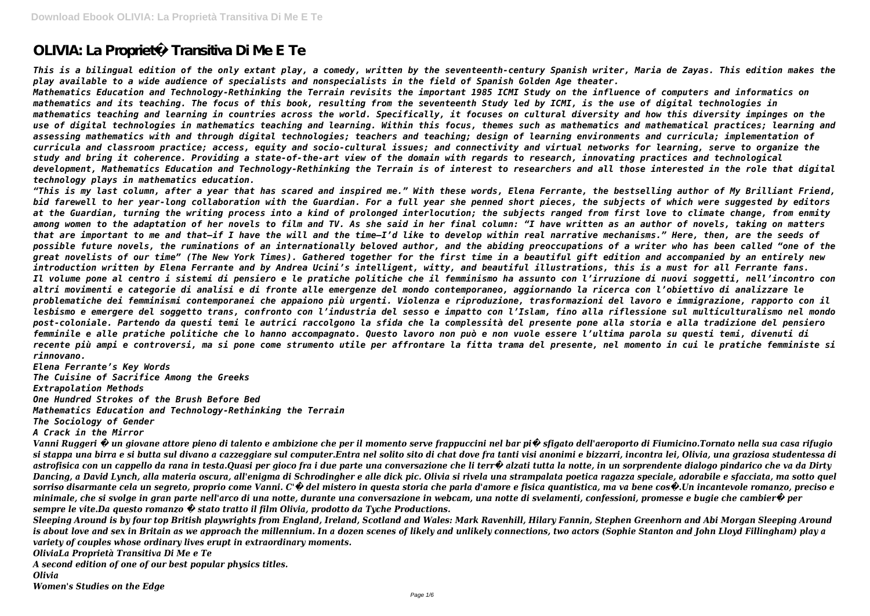# **OLIVIA: La Proprietà Transitiva Di Me E Te**

*This is a bilingual edition of the only extant play, a comedy, written by the seventeenth-century Spanish writer, Maria de Zayas. This edition makes the play available to a wide audience of specialists and nonspecialists in the field of Spanish Golden Age theater.*

*Mathematics Education and Technology-Rethinking the Terrain revisits the important 1985 ICMI Study on the influence of computers and informatics on mathematics and its teaching. The focus of this book, resulting from the seventeenth Study led by ICMI, is the use of digital technologies in mathematics teaching and learning in countries across the world. Specifically, it focuses on cultural diversity and how this diversity impinges on the use of digital technologies in mathematics teaching and learning. Within this focus, themes such as mathematics and mathematical practices; learning and assessing mathematics with and through digital technologies; teachers and teaching; design of learning environments and curricula; implementation of curricula and classroom practice; access, equity and socio-cultural issues; and connectivity and virtual networks for learning, serve to organize the study and bring it coherence. Providing a state-of-the-art view of the domain with regards to research, innovating practices and technological development, Mathematics Education and Technology-Rethinking the Terrain is of interest to researchers and all those interested in the role that digital technology plays in mathematics education.*

*"This is my last column, after a year that has scared and inspired me." With these words, Elena Ferrante, the bestselling author of My Brilliant Friend, bid farewell to her year-long collaboration with the Guardian. For a full year she penned short pieces, the subjects of which were suggested by editors at the Guardian, turning the writing process into a kind of prolonged interlocution; the subjects ranged from first love to climate change, from enmity among women to the adaptation of her novels to film and TV. As she said in her final column: "I have written as an author of novels, taking on matters that are important to me and that—if I have the will and the time—I'd like to develop within real narrative mechanisms." Here, then, are the seeds of possible future novels, the ruminations of an internationally beloved author, and the abiding preoccupations of a writer who has been called "one of the great novelists of our time" (The New York Times). Gathered together for the first time in a beautiful gift edition and accompanied by an entirely new introduction written by Elena Ferrante and by Andrea Ucini's intelligent, witty, and beautiful illustrations, this is a must for all Ferrante fans. Il volume pone al centro i sistemi di pensiero e le pratiche politiche che il femminismo ha assunto con l'irruzione di nuovi soggetti, nell'incontro con altri movimenti e categorie di analisi e di fronte alle emergenze del mondo contemporaneo, aggiornando la ricerca con l'obiettivo di analizzare le problematiche dei femminismi contemporanei che appaiono più urgenti. Violenza e riproduzione, trasformazioni del lavoro e immigrazione, rapporto con il lesbismo e emergere del soggetto trans, confronto con l'industria del sesso e impatto con l'Islam, fino alla riflessione sul multiculturalismo nel mondo post-coloniale. Partendo da questi temi le autrici raccolgono la sfida che la complessità del presente pone alla storia e alla tradizione del pensiero femminile e alle pratiche politiche che lo hanno accompagnato. Questo lavoro non può e non vuole essere l'ultima parola su questi temi, divenuti di recente più ampi e controversi, ma si pone come strumento utile per affrontare la fitta trama del presente, nel momento in cui le pratiche femministe si rinnovano.*

*Elena Ferrante's Key Words*

*The Cuisine of Sacrifice Among the Greeks*

*Extrapolation Methods*

*One Hundred Strokes of the Brush Before Bed*

*Mathematics Education and Technology-Rethinking the Terrain*

*The Sociology of Gender*

*A Crack in the Mirror*

*Vanni Ruggeri � un giovane attore pieno di talento e ambizione che per il momento serve frappuccini nel bar pi� sfigato dell'aeroporto di Fiumicino.Tornato nella sua casa rifugio si stappa una birra e si butta sul divano a cazzeggiare sul computer.Entra nel solito sito di chat dove fra tanti visi anonimi e bizzarri, incontra lei, Olivia, una graziosa studentessa di astrofisica con un cappello da rana in testa.Quasi per gioco fra i due parte una conversazione che li terr� alzati tutta la notte, in un sorprendente dialogo pindarico che va da Dirty Dancing, a David Lynch, alla materia oscura, all'enigma di Schrodingher e alle dick pic. Olivia si rivela una strampalata poetica ragazza speciale, adorabile e sfacciata, ma sotto quel sorriso disarmante cela un segreto, proprio come Vanni. C'� del mistero in questa storia che parla d'amore e fisica quantistica, ma va bene cos�.Un incantevole romanzo, preciso e minimale, che si svolge in gran parte nell'arco di una notte, durante una conversazione in webcam, una notte di svelamenti, confessioni, promesse e bugie che cambier� per sempre le vite.Da questo romanzo � stato tratto il film Olivia, prodotto da Tyche Productions.*

*Sleeping Around is by four top British playwrights from England, Ireland, Scotland and Wales: Mark Ravenhill, Hilary Fannin, Stephen Greenhorn and Abi Morgan Sleeping Around is about love and sex in Britain as we approach the millennium. In a dozen scenes of likely and unlikely connections, two actors (Sophie Stanton and John Lloyd Fillingham) play a variety of couples whose ordinary lives erupt in extraordinary moments.*

*OliviaLa Proprietà Transitiva Di Me e Te*

*A second edition of one of our best popular physics titles.*

*Olivia*

*Women's Studies on the Edge*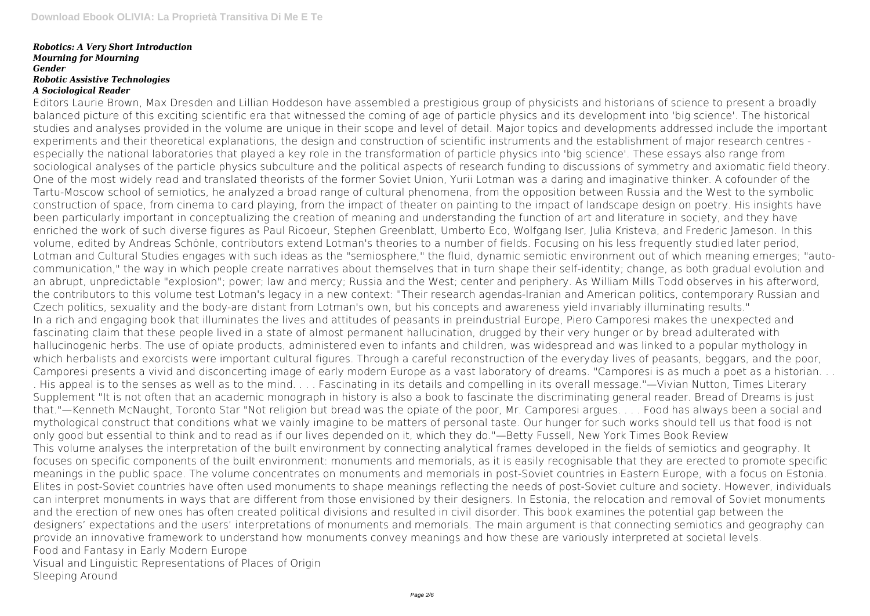#### *Robotics: A Very Short Introduction Mourning for Mourning Gender Robotic Assistive Technologies A Sociological Reader*

Editors Laurie Brown, Max Dresden and Lillian Hoddeson have assembled a prestigious group of physicists and historians of science to present a broadly balanced picture of this exciting scientific era that witnessed the coming of age of particle physics and its development into 'big science'. The historical studies and analyses provided in the volume are unique in their scope and level of detail. Major topics and developments addressed include the important experiments and their theoretical explanations, the design and construction of scientific instruments and the establishment of major research centres especially the national laboratories that played a key role in the transformation of particle physics into 'big science'. These essays also range from sociological analyses of the particle physics subculture and the political aspects of research funding to discussions of symmetry and axiomatic field theory. One of the most widely read and translated theorists of the former Soviet Union, Yurii Lotman was a daring and imaginative thinker. A cofounder of the Tartu-Moscow school of semiotics, he analyzed a broad range of cultural phenomena, from the opposition between Russia and the West to the symbolic construction of space, from cinema to card playing, from the impact of theater on painting to the impact of landscape design on poetry. His insights have been particularly important in conceptualizing the creation of meaning and understanding the function of art and literature in society, and they have enriched the work of such diverse figures as Paul Ricoeur, Stephen Greenblatt, Umberto Eco, Wolfgang Iser, Julia Kristeva, and Frederic Jameson. In this volume, edited by Andreas Schönle, contributors extend Lotman's theories to a number of fields. Focusing on his less frequently studied later period, Lotman and Cultural Studies engages with such ideas as the "semiosphere," the fluid, dynamic semiotic environment out of which meaning emerges; "autocommunication," the way in which people create narratives about themselves that in turn shape their self-identity; change, as both gradual evolution and an abrupt, unpredictable "explosion"; power; law and mercy; Russia and the West; center and periphery. As William Mills Todd observes in his afterword, the contributors to this volume test Lotman's legacy in a new context: "Their research agendas-Iranian and American politics, contemporary Russian and Czech politics, sexuality and the body-are distant from Lotman's own, but his concepts and awareness yield invariably illuminating results." In a rich and engaging book that illuminates the lives and attitudes of peasants in preindustrial Europe, Piero Camporesi makes the unexpected and fascinating claim that these people lived in a state of almost permanent hallucination, drugged by their very hunger or by bread adulterated with hallucinogenic herbs. The use of opiate products, administered even to infants and children, was widespread and was linked to a popular mythology in which herbalists and exorcists were important cultural figures. Through a careful reconstruction of the everyday lives of peasants, beggars, and the poor, Camporesi presents a vivid and disconcerting image of early modern Europe as a vast laboratory of dreams. "Camporesi is as much a poet as a historian. . . . His appeal is to the senses as well as to the mind. . . . Fascinating in its details and compelling in its overall message."—Vivian Nutton, Times Literary Supplement "It is not often that an academic monograph in history is also a book to fascinate the discriminating general reader. Bread of Dreams is just that."—Kenneth McNaught, Toronto Star "Not religion but bread was the opiate of the poor, Mr. Camporesi argues. . . . Food has always been a social and mythological construct that conditions what we vainly imagine to be matters of personal taste. Our hunger for such works should tell us that food is not only good but essential to think and to read as if our lives depended on it, which they do."—Betty Fussell, New York Times Book Review This volume analyses the interpretation of the built environment by connecting analytical frames developed in the fields of semiotics and geography. It focuses on specific components of the built environment: monuments and memorials, as it is easily recognisable that they are erected to promote specific meanings in the public space. The volume concentrates on monuments and memorials in post-Soviet countries in Eastern Europe, with a focus on Estonia. Elites in post-Soviet countries have often used monuments to shape meanings reflecting the needs of post-Soviet culture and society. However, individuals can interpret monuments in ways that are different from those envisioned by their designers. In Estonia, the relocation and removal of Soviet monuments and the erection of new ones has often created political divisions and resulted in civil disorder. This book examines the potential gap between the designers' expectations and the users' interpretations of monuments and memorials. The main argument is that connecting semiotics and geography can provide an innovative framework to understand how monuments convey meanings and how these are variously interpreted at societal levels. Food and Fantasy in Early Modern Europe Visual and Linguistic Representations of Places of Origin Sleeping Around

Page 2/6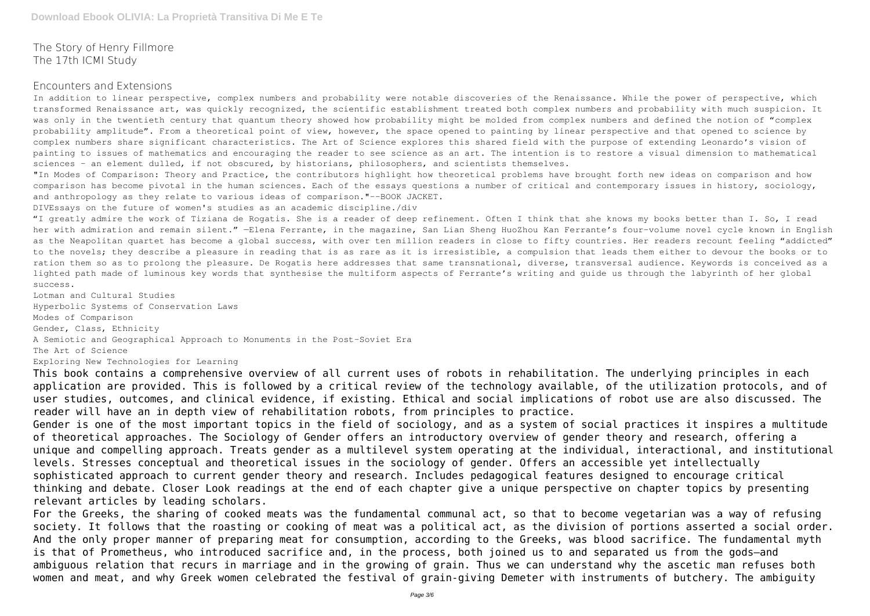The Story of Henry Fillmore The 17th ICMI Study

#### Encounters and Extensions

In addition to linear perspective, complex numbers and probability were notable discoveries of the Renaissance. While the power of perspective, which transformed Renaissance art, was quickly recognized, the scientific establishment treated both complex numbers and probability with much suspicion. It was only in the twentieth century that quantum theory showed how probability might be molded from complex numbers and defined the notion of "complex probability amplitude". From a theoretical point of view, however, the space opened to painting by linear perspective and that opened to science by complex numbers share significant characteristics. The Art of Science explores this shared field with the purpose of extending Leonardo's vision of painting to issues of mathematics and encouraging the reader to see science as an art. The intention is to restore a visual dimension to mathematical sciences - an element dulled, if not obscured, by historians, philosophers, and scientists themselves.

"I greatly admire the work of Tiziana de Rogatis. She is a reader of deep refinement. Often I think that she knows my books better than I. So, I read her with admiration and remain silent." -Elena Ferrante, in the magazine, San Lian Sheng HuoZhou Kan Ferrante's four-volume novel cycle known in English as the Neapolitan quartet has become a global success, with over ten million readers in close to fifty countries. Her readers recount feeling "addicted" to the novels; they describe a pleasure in reading that is as rare as it is irresistible, a compulsion that leads them either to devour the books or to ration them so as to prolong the pleasure. De Rogatis here addresses that same transnational, diverse, transversal audience. Keywords is conceived as a lighted path made of luminous key words that synthesise the multiform aspects of Ferrante's writing and guide us through the labyrinth of her global success.

"In Modes of Comparison: Theory and Practice, the contributors highlight how theoretical problems have brought forth new ideas on comparison and how comparison has become pivotal in the human sciences. Each of the essays questions a number of critical and contemporary issues in history, sociology, and anthropology as they relate to various ideas of comparison."--BOOK JACKET.

DIVEssays on the future of women's studies as an academic discipline./div

Lotman and Cultural Studies Hyperbolic Systems of Conservation Laws Modes of Comparison Gender, Class, Ethnicity A Semiotic and Geographical Approach to Monuments in the Post-Soviet Era The Art of Science Exploring New Technologies for Learning

This book contains a comprehensive overview of all current uses of robots in rehabilitation. The underlying principles in each application are provided. This is followed by a critical review of the technology available, of the utilization protocols, and of user studies, outcomes, and clinical evidence, if existing. Ethical and social implications of robot use are also discussed. The reader will have an in depth view of rehabilitation robots, from principles to practice.

Gender is one of the most important topics in the field of sociology, and as a system of social practices it inspires a multitude of theoretical approaches. The Sociology of Gender offers an introductory overview of gender theory and research, offering a unique and compelling approach. Treats gender as a multilevel system operating at the individual, interactional, and institutional levels. Stresses conceptual and theoretical issues in the sociology of gender. Offers an accessible yet intellectually sophisticated approach to current gender theory and research. Includes pedagogical features designed to encourage critical thinking and debate. Closer Look readings at the end of each chapter give a unique perspective on chapter topics by presenting relevant articles by leading scholars.

For the Greeks, the sharing of cooked meats was the fundamental communal act, so that to become vegetarian was a way of refusing society. It follows that the roasting or cooking of meat was a political act, as the division of portions asserted a social order. And the only proper manner of preparing meat for consumption, according to the Greeks, was blood sacrifice. The fundamental myth is that of Prometheus, who introduced sacrifice and, in the process, both joined us to and separated us from the gods—and ambiguous relation that recurs in marriage and in the growing of grain. Thus we can understand why the ascetic man refuses both women and meat, and why Greek women celebrated the festival of grain-giving Demeter with instruments of butchery. The ambiguity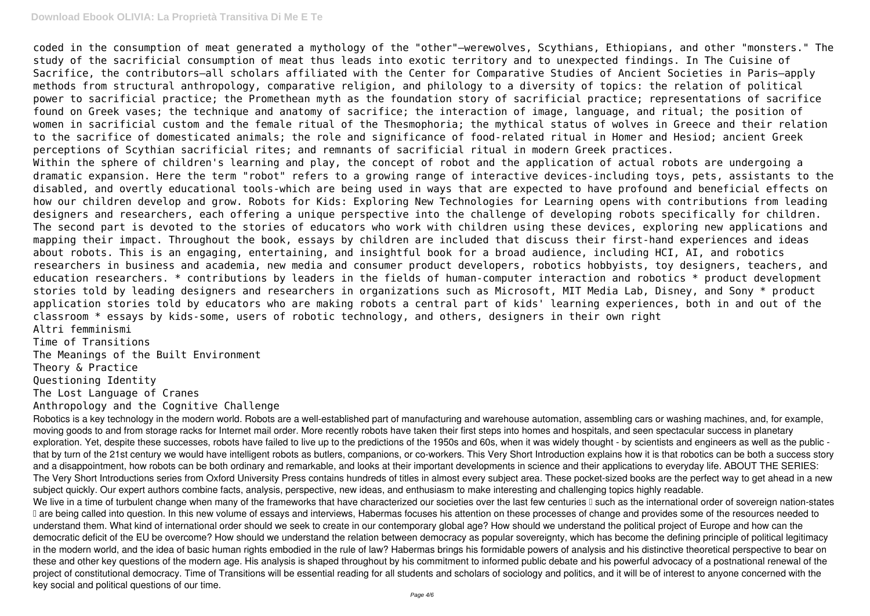## **Download Ebook OLIVIA: La Proprietà Transitiva Di Me E Te**

coded in the consumption of meat generated a mythology of the "other"—werewolves, Scythians, Ethiopians, and other "monsters." The study of the sacrificial consumption of meat thus leads into exotic territory and to unexpected findings. In The Cuisine of Sacrifice, the contributors—all scholars affiliated with the Center for Comparative Studies of Ancient Societies in Paris—apply methods from structural anthropology, comparative religion, and philology to a diversity of topics: the relation of political power to sacrificial practice; the Promethean myth as the foundation story of sacrificial practice; representations of sacrifice found on Greek vases; the technique and anatomy of sacrifice; the interaction of image, language, and ritual; the position of women in sacrificial custom and the female ritual of the Thesmophoria; the mythical status of wolves in Greece and their relation to the sacrifice of domesticated animals; the role and significance of food-related ritual in Homer and Hesiod; ancient Greek perceptions of Scythian sacrificial rites; and remnants of sacrificial ritual in modern Greek practices. Within the sphere of children's learning and play, the concept of robot and the application of actual robots are undergoing a dramatic expansion. Here the term "robot" refers to a growing range of interactive devices-including toys, pets, assistants to the disabled, and overtly educational tools-which are being used in ways that are expected to have profound and beneficial effects on how our children develop and grow. Robots for Kids: Exploring New Technologies for Learning opens with contributions from leading designers and researchers, each offering a unique perspective into the challenge of developing robots specifically for children. The second part is devoted to the stories of educators who work with children using these devices, exploring new applications and mapping their impact. Throughout the book, essays by children are included that discuss their first-hand experiences and ideas about robots. This is an engaging, entertaining, and insightful book for a broad audience, including HCI, AI, and robotics researchers in business and academia, new media and consumer product developers, robotics hobbyists, toy designers, teachers, and education researchers. \* contributions by leaders in the fields of human-computer interaction and robotics \* product development stories told by leading designers and researchers in organizations such as Microsoft, MIT Media Lab, Disney, and Sony \* product application stories told by educators who are making robots a central part of kids' learning experiences, both in and out of the classroom \* essays by kids-some, users of robotic technology, and others, designers in their own right Altri femminismi

Robotics is a key technology in the modern world. Robots are a well-established part of manufacturing and warehouse automation, assembling cars or washing machines, and, for example, moving goods to and from storage racks for Internet mail order. More recently robots have taken their first steps into homes and hospitals, and seen spectacular success in planetary exploration. Yet, despite these successes, robots have failed to live up to the predictions of the 1950s and 60s, when it was widely thought - by scientists and engineers as well as the public that by turn of the 21st century we would have intelligent robots as butlers, companions, or co-workers. This Very Short Introduction explains how it is that robotics can be both a success story and a disappointment, how robots can be both ordinary and remarkable, and looks at their important developments in science and their applications to everyday life. ABOUT THE SERIES: The Very Short Introductions series from Oxford University Press contains hundreds of titles in almost every subject area. These pocket-sized books are the perfect way to get ahead in a new subject quickly. Our expert authors combine facts, analysis, perspective, new ideas, and enthusiasm to make interesting and challenging topics highly readable. We live in a time of turbulent change when many of the frameworks that have characterized our societies over the last few centuries  $\mathbb I$  such as the international order of sovereign nation-states I are being called into question. In this new volume of essays and interviews, Habermas focuses his attention on these processes of change and provides some of the resources needed to understand them. What kind of international order should we seek to create in our contemporary global age? How should we understand the political project of Europe and how can the democratic deficit of the EU be overcome? How should we understand the relation between democracy as popular sovereignty, which has become the defining principle of political legitimacy in the modern world, and the idea of basic human rights embodied in the rule of law? Habermas brings his formidable powers of analysis and his distinctive theoretical perspective to bear on these and other key questions of the modern age. His analysis is shaped throughout by his commitment to informed public debate and his powerful advocacy of a postnational renewal of the project of constitutional democracy. Time of Transitions will be essential reading for all students and scholars of sociology and politics, and it will be of interest to anyone concerned with the key social and political questions of our time.

Time of Transitions The Meanings of the Built Environment Theory & Practice Questioning Identity The Lost Language of Cranes Anthropology and the Cognitive Challenge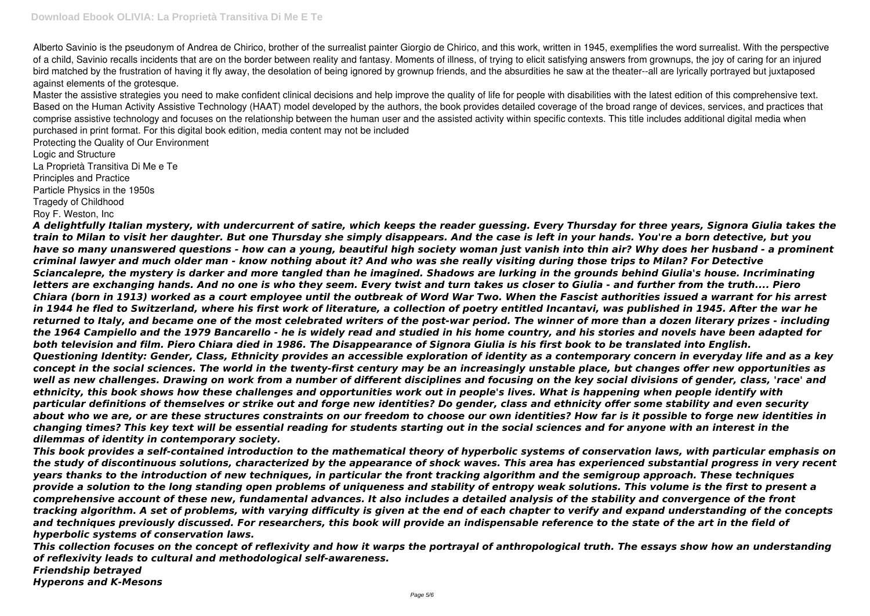Alberto Savinio is the pseudonym of Andrea de Chirico, brother of the surrealist painter Giorgio de Chirico, and this work, written in 1945, exemplifies the word surrealist. With the perspective of a child, Savinio recalls incidents that are on the border between reality and fantasy. Moments of illness, of trying to elicit satisfying answers from grownups, the joy of caring for an injured bird matched by the frustration of having it fly away, the desolation of being ignored by grownup friends, and the absurdities he saw at the theater--all are lyrically portrayed but juxtaposed against elements of the grotesque.

Master the assistive strategies you need to make confident clinical decisions and help improve the quality of life for people with disabilities with the latest edition of this comprehensive text. Based on the Human Activity Assistive Technology (HAAT) model developed by the authors, the book provides detailed coverage of the broad range of devices, services, and practices that comprise assistive technology and focuses on the relationship between the human user and the assisted activity within specific contexts. This title includes additional digital media when purchased in print format. For this digital book edition, media content may not be included

Protecting the Quality of Our Environment Logic and Structure La Proprietà Transitiva Di Me e Te Principles and Practice Particle Physics in the 1950s Tragedy of Childhood Roy F. Weston, Inc

*A delightfully Italian mystery, with undercurrent of satire, which keeps the reader guessing. Every Thursday for three years, Signora Giulia takes the train to Milan to visit her daughter. But one Thursday she simply disappears. And the case is left in your hands. You're a born detective, but you have so many unanswered questions - how can a young, beautiful high society woman just vanish into thin air? Why does her husband - a prominent criminal lawyer and much older man - know nothing about it? And who was she really visiting during those trips to Milan? For Detective Sciancalepre, the mystery is darker and more tangled than he imagined. Shadows are lurking in the grounds behind Giulia's house. Incriminating letters are exchanging hands. And no one is who they seem. Every twist and turn takes us closer to Giulia - and further from the truth.... Piero Chiara (born in 1913) worked as a court employee until the outbreak of Word War Two. When the Fascist authorities issued a warrant for his arrest in 1944 he fled to Switzerland, where his first work of literature, a collection of poetry entitled Incantavi, was published in 1945. After the war he returned to Italy, and became one of the most celebrated writers of the post-war period. The winner of more than a dozen literary prizes - including the 1964 Campiello and the 1979 Bancarello - he is widely read and studied in his home country, and his stories and novels have been adapted for both television and film. Piero Chiara died in 1986. The Disappearance of Signora Giulia is his first book to be translated into English. Questioning Identity: Gender, Class, Ethnicity provides an accessible exploration of identity as a contemporary concern in everyday life and as a key concept in the social sciences. The world in the twenty-first century may be an increasingly unstable place, but changes offer new opportunities as well as new challenges. Drawing on work from a number of different disciplines and focusing on the key social divisions of gender, class, 'race' and ethnicity, this book shows how these challenges and opportunities work out in people's lives. What is happening when people identify with particular definitions of themselves or strike out and forge new identities? Do gender, class and ethnicity offer some stability and even security about who we are, or are these structures constraints on our freedom to choose our own identities? How far is it possible to forge new identities in changing times? This key text will be essential reading for students starting out in the social sciences and for anyone with an interest in the dilemmas of identity in contemporary society.*

*This book provides a self-contained introduction to the mathematical theory of hyperbolic systems of conservation laws, with particular emphasis on the study of discontinuous solutions, characterized by the appearance of shock waves. This area has experienced substantial progress in very recent years thanks to the introduction of new techniques, in particular the front tracking algorithm and the semigroup approach. These techniques provide a solution to the long standing open problems of uniqueness and stability of entropy weak solutions. This volume is the first to present a comprehensive account of these new, fundamental advances. It also includes a detailed analysis of the stability and convergence of the front tracking algorithm. A set of problems, with varying difficulty is given at the end of each chapter to verify and expand understanding of the concepts and techniques previously discussed. For researchers, this book will provide an indispensable reference to the state of the art in the field of hyperbolic systems of conservation laws.*

*This collection focuses on the concept of reflexivity and how it warps the portrayal of anthropological truth. The essays show how an understanding of reflexivity leads to cultural and methodological self-awareness. Friendship betrayed Hyperons and K-Mesons*